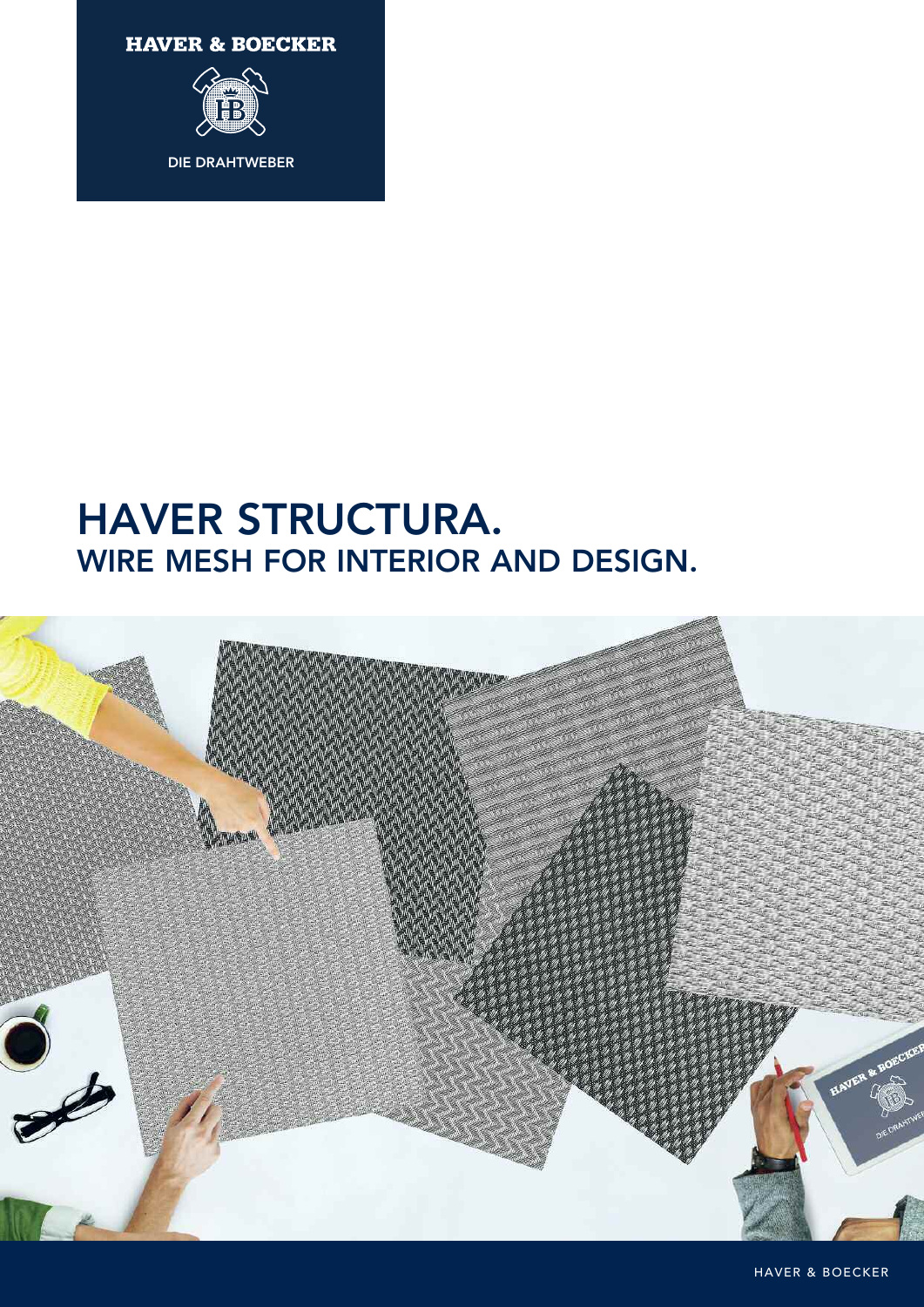**HAVER & BOECKER** 



**DIE DRAHTWEBER**

# **HAVER STRUCTURA. WIRE MESH FOR INTERIOR AND DESIGN.**



HAVER & BOECKER